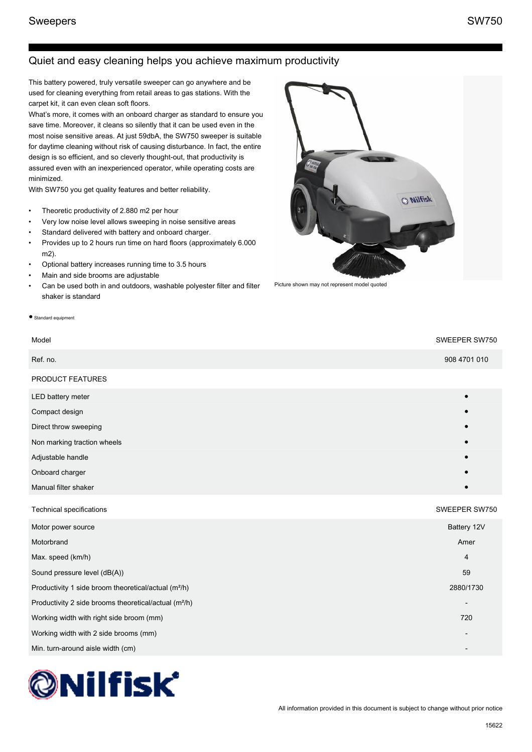# Quiet and easy cleaning helps you achieve maximum productivity

This battery powered, truly versatile sweeper can go anywhere and be used for cleaning everything from retail areas to gas stations. With the carpet kit, it can even clean soft floors.

What's more, it comes with an onboard charger as standard to ensure you save time. Moreover, it cleans so silently that it can be used even in the most noise sensitive areas. At just 59dbA, the SW750 sweeper is suitable for daytime cleaning without risk of causing disturbance. In fact, the entire design is so efficient, and so cleverly thought-out, that productivity is assured even with an inexperienced operator, while operating costs are minimized.

With SW750 you get quality features and better reliability.

- Theoretic productivity of 2.880 m2 per hour
- Very low noise level allows sweeping in noise sensitive areas
- Standard delivered with battery and onboard charger.
- Provides up to 2 hours run time on hard floors (approximately 6.000 m2).
- Optional battery increases running time to 3.5 hours
- Main and side brooms are adjustable
- Can be used both in and outdoors, washable polyester filter and filter shaker is standard

#### ● Standard equipment

### Model SWEEPER SW750

| Ref. no.                    | 908 4701 010 |
|-----------------------------|--------------|
| PRODUCT FEATURES            |              |
| LED battery meter           | $\bullet$    |
| Compact design              | $\bullet$    |
| Direct throw sweeping       | $\bullet$    |
| Non marking traction wheels | $\bullet$    |
| Adjustable handle           | $\bullet$    |
| Onboard charger             | $\bullet$    |
| Manual filter shaker        | $\bullet$    |
|                             |              |

#### Technical specifications SWEEPER SW750

| Motor power source                                                | Battery 12V              |
|-------------------------------------------------------------------|--------------------------|
| Motorbrand                                                        | Amer                     |
| Max. speed (km/h)                                                 | $\overline{4}$           |
| Sound pressure level (dB(A))                                      | 59                       |
| Productivity 1 side broom theoretical/actual (m <sup>2</sup> /h)  | 2880/1730                |
| Productivity 2 side brooms theoretical/actual (m <sup>2</sup> /h) | $\overline{\phantom{a}}$ |
| Working width with right side broom (mm)                          | 720                      |
| Working width with 2 side brooms (mm)                             | $\overline{\phantom{a}}$ |
| Min. turn-around aisle width (cm)                                 |                          |





Picture shown may not represent model quoted